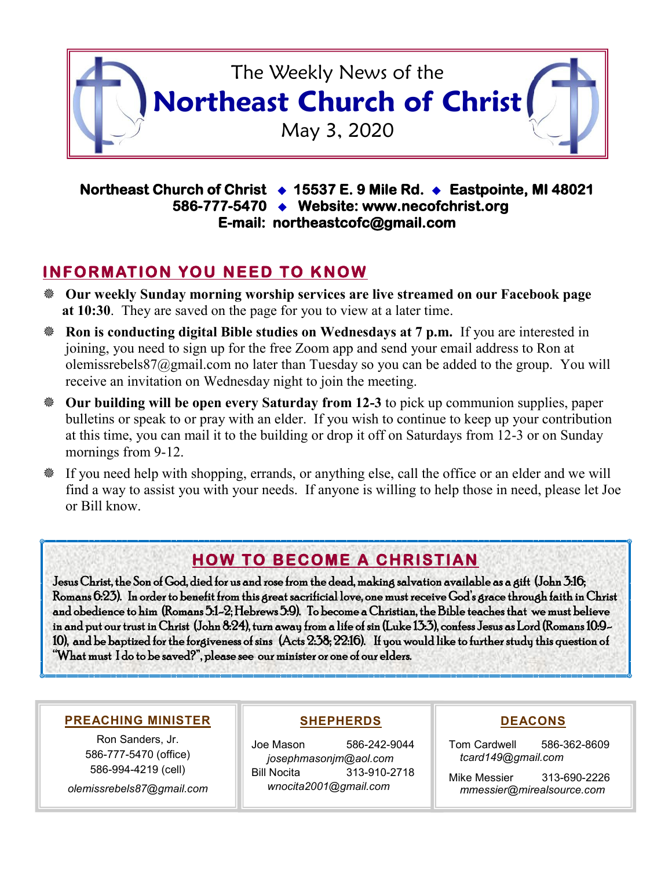

#### **Northeast Church of Christ 15537 E. 9 Mile Rd. Eastpointe, MI 48021 586-777-5470 Website: www.necofchrist.org E-mail: northeastcofc@gmail.com**

### **INFORMATION YOU NEED TO KNOW**

- **Our weekly Sunday morning worship services are live streamed on our Facebook page at 10:30**. They are saved on the page for you to view at a later time.
- **Ron is conducting digital Bible studies on Wednesdays at 7 p.m.** If you are interested in joining, you need to sign up for the free Zoom app and send your email address to Ron at olemissrebels87@gmail.com no later than Tuesday so you can be added to the group. You will receive an invitation on Wednesday night to join the meeting.
- **Our building will be open every Saturday from 12-3** to pick up communion supplies, paper bulletins or speak to or pray with an elder. If you wish to continue to keep up your contribution at this time, you can mail it to the building or drop it off on Saturdays from 12-3 or on Sunday mornings from 9-12.
- If you need help with shopping, errands, or anything else, call the office or an elder and we will find a way to assist you with your needs. If anyone is willing to help those in need, please let Joe or Bill know.

## **HOW TO BECOME A CHRISTIAN**

Jesus Christ, the Son of God, died for us and rose from the dead, making salvation available as a gift (John 3:16; Romans 6:23). In order to benefit from this great sacrificial love, one must receive God's grace through faith in Christ and obedience to him (Romans 5:1-2; Hebrews 5:9). To become a Christian, the Bible teaches that we must believe in and put our trust in Christ (John 8:24), turn away from a life of sin (Luke 13:3), confess Jesus as Lord (Romans 10:9- 10), and be baptized for the forgiveness of sins (Acts 2:38; 22:16). If you would like to further study this question of "What must I do to be saved?", please see our minister or one of our elders.

#### **PREACHING MINISTER**

Ron Sanders, Jr. 586-777-5470 (office) 586-994-4219 (cell) *olemissrebels87@gmail.com*

#### **SHEPHERDS**

Joe Mason 586-242-9044 *josephmasonjm@aol.com* Bill Nocita 313-910-2718 *wnocita2001@gmail.com*

#### **DEACONS**

Tom Cardwell 586-362-8609 *tcard149@gmail.com*

Mike Messier 313-690-2226 *mmessier@mirealsource.com*